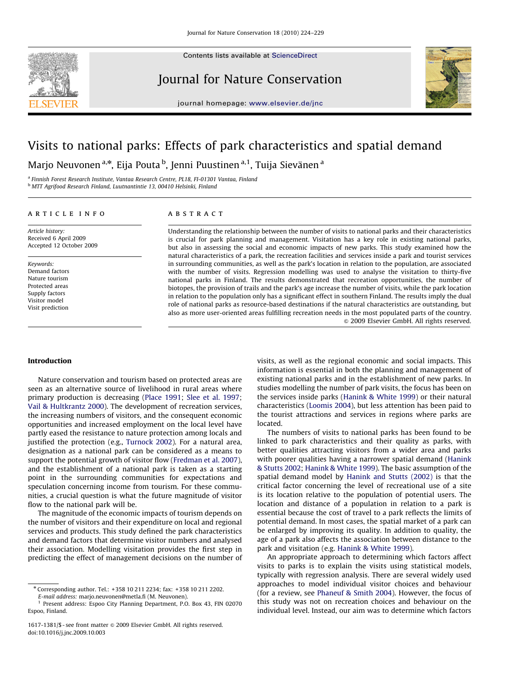

Contents lists available at ScienceDirect

Journal for Nature Conservation



journal homepage: <www.elsevier.de/jnc>

# Visits to national parks: Effects of park characteristics and spatial demand

Marjo Neuvonen<sup>a,</sup>\*, Eija Pouta <sup>b</sup>, Jenni Puustinen<sup>a,1</sup>, Tuija Sievänen <sup>a</sup>

<sup>a</sup> Finnish Forest Research Institute, Vantaa Research Centre, PL18, FI-01301 Vantaa, Finland <sup>b</sup> MTT Agrifood Research Finland, Luutnantintie 13, 00410 Helsinki, Finland

article info

Article history: Received 6 April 2009 Accepted 12 October 2009

Keywords: Demand factors Nature tourism Protected areas Supply factors Visitor model Visit prediction

# **ABSTRACT**

Understanding the relationship between the number of visits to national parks and their characteristics is crucial for park planning and management. Visitation has a key role in existing national parks, but also in assessing the social and economic impacts of new parks. This study examined how the natural characteristics of a park, the recreation facilities and services inside a park and tourist services in surrounding communities, as well as the park's location in relation to the population, are associated with the number of visits. Regression modelling was used to analyse the visitation to thirty-five national parks in Finland. The results demonstrated that recreation opportunities, the number of biotopes, the provision of trails and the park's age increase the number of visits, while the park location in relation to the population only has a significant effect in southern Finland. The results imply the dual role of national parks as resource-based destinations if the natural characteristics are outstanding, but also as more user-oriented areas fulfilling recreation needs in the most populated parts of the country.  $\odot$  2009 Elsevier GmbH. All rights reserved.

# Introduction

Nature conservation and tourism based on protected areas are seen as an alternative source of livelihood in rural areas where primary production is decreasing [\(Place 1991;](#page-5-0) [Slee et al. 1997;](#page-5-0) [Vail](#page-5-0) [& Hultkrantz 2000](#page-5-0)). The development of recreation services, the increasing numbers of visitors, and the consequent economic opportunities and increased employment on the local level have partly eased the resistance to nature protection among locals and justified the protection (e.g., [Turnock 2002](#page-5-0)). For a natural area, designation as a national park can be considered as a means to support the potential growth of visitor flow [\(Fredman et al. 2007\)](#page-5-0), and the establishment of a national park is taken as a starting point in the surrounding communities for expectations and speculation concerning income from tourism. For these communities, a crucial question is what the future magnitude of visitor flow to the national park will be.

The magnitude of the economic impacts of tourism depends on the number of visitors and their expenditure on local and regional services and products. This study defined the park characteristics and demand factors that determine visitor numbers and analysed their association. Modelling visitation provides the first step in predicting the effect of management decisions on the number of visits, as well as the regional economic and social impacts. This information is essential in both the planning and management of existing national parks and in the establishment of new parks. In studies modelling the number of park visits, the focus has been on the services inside parks ([Hanink](#page-5-0) & [White 1999](#page-5-0)) or their natural characteristics ([Loomis 2004\)](#page-5-0), but less attention has been paid to the tourist attractions and services in regions where parks are located.

The numbers of visits to national parks has been found to be linked to park characteristics and their quality as parks, with better qualities attracting visitors from a wider area and parks with poorer qualities having a narrower spatial demand [\(Hanink](#page-5-0) & [Stutts 2002;](#page-5-0) [Hanink](#page-5-0) [& White 1999](#page-5-0)). The basic assumption of the spatial demand model by [Hanink and Stutts \(2002\)](#page-5-0) is that the critical factor concerning the level of recreational use of a site is its location relative to the population of potential users. The location and distance of a population in relation to a park is essential because the cost of travel to a park reflects the limits of potential demand. In most cases, the spatial market of a park can be enlarged by improving its quality. In addition to quality, the age of a park also affects the association between distance to the park and visitation (e.g. [Hanink](#page-5-0) & [White 1999](#page-5-0)).

An appropriate approach to determining which factors affect visits to parks is to explain the visits using statistical models, typically with regression analysis. There are several widely used approaches to model individual visitor choices and behaviour (for a review, see [Phaneuf](#page-5-0) & [Smith 2004\)](#page-5-0). However, the focus of this study was not on recreation choices and behaviour on the individual level. Instead, our aim was to determine which factors

<sup>n</sup> Corresponding author. Tel.: +358 10 211 2234; fax: +358 10 211 2202.

E-mail address: [marjo.neuvonen@metla.fi \(M. Neuvonen\)](mailto:marjo.neuvonen@metla.fi). <sup>1</sup> Present address: Espoo City Planning Department, P.O. Box 43, FIN 02070

Espoo, Finland.

<sup>1617-1381/\$ -</sup> see front matter  $\odot$  2009 Elsevier GmbH. All rights reserved. doi:[10.1016/j.jnc.2009.10.003](dx.doi.org/10.1016/j.jnc.2009.10.003)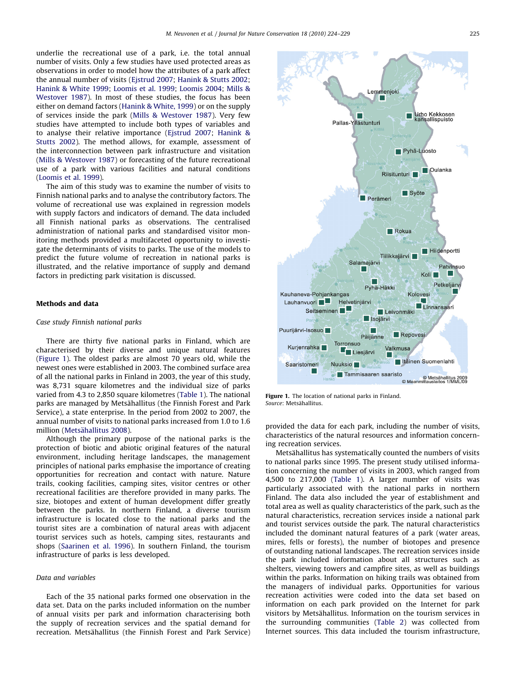underlie the recreational use of a park, i.e. the total annual number of visits. Only a few studies have used protected areas as observations in order to model how the attributes of a park affect the annual number of visits [\(Ejstrud 2007;](#page-5-0) [Hanink](#page-5-0) [& Stutts 2002;](#page-5-0) [Hanink](#page-5-0) & [White 1999](#page-5-0); [Loomis et al. 1999;](#page-5-0) [Loomis 2004](#page-5-0); [Mills &](#page-5-0) [Westover 1987\)](#page-5-0). In most of these studies, the focus has been either on demand factors ([Hanink](#page-5-0) [& White, 1999\)](#page-5-0) or on the supply of services inside the park ([Mills & Westover 1987\)](#page-5-0). Very few studies have attempted to include both types of variables and to analyse their relative importance ([Ejstrud 2007;](#page-5-0) [Hanink &](#page-5-0) [Stutts 2002\)](#page-5-0). The method allows, for example, assessment of the interconnection between park infrastructure and visitation ([Mills](#page-5-0) [& Westover 1987\)](#page-5-0) or forecasting of the future recreational use of a park with various facilities and natural conditions ([Loomis et al. 1999\)](#page-5-0).

The aim of this study was to examine the number of visits to Finnish national parks and to analyse the contributory factors. The volume of recreational use was explained in regression models with supply factors and indicators of demand. The data included all Finnish national parks as observations. The centralised administration of national parks and standardised visitor monitoring methods provided a multifaceted opportunity to investigate the determinants of visits to parks. The use of the models to predict the future volume of recreation in national parks is illustrated, and the relative importance of supply and demand factors in predicting park visitation is discussed.

#### Methods and data

## Case study Finnish national parks

There are thirty five national parks in Finland, which are characterised by their diverse and unique natural features (Figure 1). The oldest parks are almost 70 years old, while the newest ones were established in 2003. The combined surface area of all the national parks in Finland in 2003, the year of this study, was 8,731 square kilometres and the individual size of parks varied from 4.3 to 2,850 square kilometres ([Table 1\)](#page-2-0). The national parks are managed by Metsähallitus (the Finnish Forest and Park Service), a state enterprise. In the period from 2002 to 2007, the annual number of visits to national parks increased from 1.0 to 1.6 million (Metsähallitus 2008).

Although the primary purpose of the national parks is the protection of biotic and abiotic original features of the natural environment, including heritage landscapes, the management principles of national parks emphasise the importance of creating opportunities for recreation and contact with nature. Nature trails, cooking facilities, camping sites, visitor centres or other recreational facilities are therefore provided in many parks. The size, biotopes and extent of human development differ greatly between the parks. In northern Finland, a diverse tourism infrastructure is located close to the national parks and the tourist sites are a combination of natural areas with adjacent tourist services such as hotels, camping sites, restaurants and shops ([Saarinen et al. 1996](#page-5-0)). In southern Finland, the tourism infrastructure of parks is less developed.

## Data and variables

Each of the 35 national parks formed one observation in the data set. Data on the parks included information on the number of annual visits per park and information characterising both the supply of recreation services and the spatial demand for recreation. Metsähallitus (the Finnish Forest and Park Service)



Figure 1. The location of national parks in Finland. Source: Metsähallitus.

provided the data for each park, including the number of visits, characteristics of the natural resources and information concerning recreation services.

Metsähallitus has systematically counted the numbers of visits to national parks since 1995. The present study utilised information concerning the number of visits in 2003, which ranged from 4,500 to 217,000 [\(Table 1\)](#page-2-0). A larger number of visits was particularly associated with the national parks in northern Finland. The data also included the year of establishment and total area as well as quality characteristics of the park, such as the natural characteristics, recreation services inside a national park and tourist services outside the park. The natural characteristics included the dominant natural features of a park (water areas, mires, fells or forests), the number of biotopes and presence of outstanding national landscapes. The recreation services inside the park included information about all structures such as shelters, viewing towers and campfire sites, as well as buildings within the parks. Information on hiking trails was obtained from the managers of individual parks. Opportunities for various recreation activities were coded into the data set based on information on each park provided on the Internet for park visitors by Metsähallitus. Information on the tourism services in the surrounding communities [\(Table 2\)](#page-3-0) was collected from Internet sources. This data included the tourism infrastructure,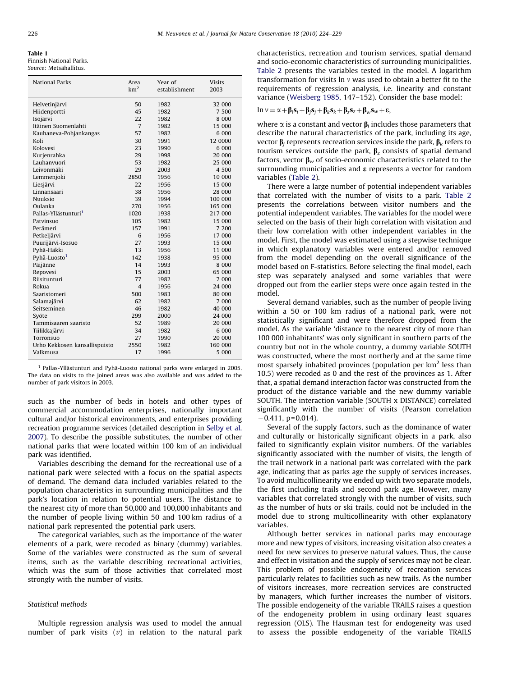#### <span id="page-2-0"></span>Table 1 Finnish National Parks.

Source: Metsähallitus.

| <b>National Parks</b>            | Area<br>km <sup>2</sup> | Year of<br>establishment | Visits<br>2003 |
|----------------------------------|-------------------------|--------------------------|----------------|
| Helvetinjärvi                    | 50                      | 1982                     | 32 000         |
| Hiidenportti                     | 45                      | 1982                     | 7 500          |
| Isojärvi                         | 22                      | 1982                     | 8 0 0 0        |
| Itäinen Suomenlahti              | 7                       | 1982                     | 15 000         |
| Kauhaneva-Pohjankangas           | 57                      | 1982                     | 6 000          |
| Koli                             | 30                      | 1991                     | 12 0000        |
| Kolovesi                         | 23                      | 1990                     | 6 000          |
| Kurjenrahka                      | 29                      | 1998                     | 20 000         |
| Lauhanvuori                      | 53                      | 1982                     | 25 000         |
| Leivonmäki                       | 29                      | 2003                     | 4 500          |
| Lemmenjoki                       | 2850                    | 1956                     | 10 000         |
| Liesjärvi                        | 22                      | 1956                     | 15 000         |
| Linnansaari                      | 38                      | 1956                     | 28 000         |
| <b>Nuuksio</b>                   | 39                      | 1994                     | 100 000        |
| Oulanka                          | 270                     | 1956                     | 165 000        |
| Pallas-Yllästunturi <sup>1</sup> | 1020                    | 1938                     | 217 000        |
| Patvinsuo                        | 105                     | 1982                     | 15 000         |
| Perämeri                         | 157                     | 1991                     | 7 200          |
| Petkeljärvi                      | 6                       | 1956                     | 17 000         |
| Puurijärvi-Isosuo                | 27                      | 1993                     | 15 000         |
| Pyhä-Häkki                       | 13                      | 1956                     | 11 000         |
| Pyhä-Luosto <sup>1</sup>         | 142                     | 1938                     | 95 000         |
| Päijänne                         | 14                      | 1993                     | 8 0 0 0        |
| Repovesi                         | 15                      | 2003                     | 65 000         |
| Riisitunturi                     | 77                      | 1982                     | 7 000          |
| Rokua                            | 4                       | 1956                     | 24 000         |
| Saaristomeri                     | 500                     | 1983                     | 80 000         |
| Salamajärvi                      | 62                      | 1982                     | 7 000          |
| Seitseminen                      | 46                      | 1982                     | 40 000         |
| Syöte                            | 299                     | 2000                     | 24 000         |
| Tammisaaren saaristo             | 52                      | 1989                     | 20 000         |
| Tiilikkajärvi                    | 34                      | 1982                     | 6 000          |
| Torronsuo                        | 27                      | 1990                     | 20 000         |
| Urho Kekkosen kansallispuisto    | 2550                    | 1982                     | 160 000        |
| Valkmusa                         | 17                      | 1996                     | 5 000          |

 $1$  Pallas-Yllästunturi and Pyhä-Luosto national parks were enlarged in 2005. The data on visits to the joined areas was also available and was added to the number of park visitors in 2003.

such as the number of beds in hotels and other types of commercial accommodation enterprises, nationally important cultural and/or historical environments, and enterprises providing recreation programme services (detailed description in [Selby et al.](#page-5-0) [2007](#page-5-0)). To describe the possible substitutes, the number of other national parks that were located within 100 km of an individual park was identified.

Variables describing the demand for the recreational use of a national park were selected with a focus on the spatial aspects of demand. The demand data included variables related to the population characteristics in surrounding municipalities and the park's location in relation to potential users. The distance to the nearest city of more than 50,000 and 100,000 inhabitants and the number of people living within 50 and 100 km radius of a national park represented the potential park users.

The categorical variables, such as the importance of the water elements of a park, were recoded as binary (dummy) variables. Some of the variables were constructed as the sum of several items, such as the variable describing recreational activities, which was the sum of those activities that correlated most strongly with the number of visits.

# Statistical methods

Multiple regression analysis was used to model the annual number of park visits  $(v)$  in relation to the natural park

characteristics, recreation and tourism services, spatial demand and socio-economic characteristics of surrounding municipalities. [Table 2](#page-3-0) presents the variables tested in the model. A logarithm transformation for visits  $\ln v$  was used to obtain a better fit to the requirements of regression analysis, i.e. linearity and constant variance ([Weisberg 1985,](#page-5-0) 147–152). Consider the base model:

 $\ln v = \alpha + \beta_i s_i + \beta_j s_j + \beta_k s_k + \beta_z s_z + \beta_w s_w + \varepsilon,$ 

where  $\alpha$  is a constant and vector  $\beta_i$  includes those parameters that describe the natural characteristics of the park, including its age, vector  $\beta_i$  represents recreation services inside the park,  $\beta_k$  refers to tourism services outside the park,  $\beta$ <sub>z</sub> consists of spatial demand factors, vector  $\beta_w$  of socio-economic characteristics related to the surrounding municipalities and  $\varepsilon$  represents a vector for random variables ([Table 2](#page-3-0)).

There were a large number of potential independent variables that correlated with the number of visits to a park. [Table 2](#page-3-0) presents the correlations between visitor numbers and the potential independent variables. The variables for the model were selected on the basis of their high correlation with visitation and their low correlation with other independent variables in the model. First, the model was estimated using a stepwise technique in which explanatory variables were entered and/or removed from the model depending on the overall significance of the model based on F-statistics. Before selecting the final model, each step was separately analysed and some variables that were dropped out from the earlier steps were once again tested in the model.

Several demand variables, such as the number of people living within a 50 or 100 km radius of a national park, were not statistically significant and were therefore dropped from the model. As the variable 'distance to the nearest city of more than 100 000 inhabitants' was only significant in southern parts of the country but not in the whole country, a dummy variable SOUTH was constructed, where the most northerly and at the same time most sparsely inhabited provinces (population per  $km<sup>2</sup>$  less than 10.5) were recoded as 0 and the rest of the provinces as 1. After that, a spatial demand interaction factor was constructed from the product of the distance variable and the new dummy variable SOUTH. The interaction variable (SOUTH x DISTANCE) correlated significantly with the number of visits (Pearson correlation  $-0.411$ , p=0.014).

Several of the supply factors, such as the dominance of water and culturally or historically significant objects in a park, also failed to significantly explain visitor numbers. Of the variables significantly associated with the number of visits, the length of the trail network in a national park was correlated with the park age, indicating that as parks age the supply of services increases. To avoid multicollinearity we ended up with two separate models, the first including trails and second park age. However, many variables that correlated strongly with the number of visits, such as the number of huts or ski trails, could not be included in the model due to strong multicollinearity with other explanatory variables.

Although better services in national parks may encourage more and new types of visitors, increasing visitation also creates a need for new services to preserve natural values. Thus, the cause and effect in visitation and the supply of services may not be clear. This problem of possible endogeneity of recreation services particularly relates to facilities such as new trails. As the number of visitors increases, more recreation services are constructed by managers, which further increases the number of visitors. The possible endogeneity of the variable TRAILS raises a question of the endogeneity problem in using ordinary least squares regression (OLS). The Hausman test for endogeneity was used to assess the possible endogeneity of the variable TRAILS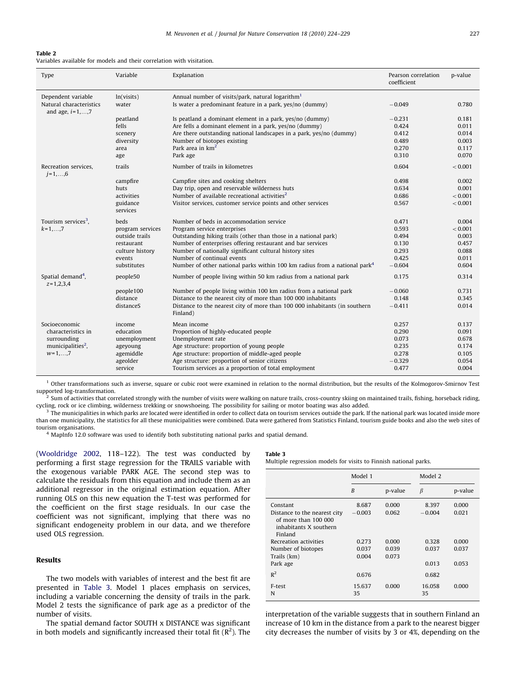## <span id="page-3-0"></span>Table 2

Variables available for models and their correlation with visitation.

| Type                                                                   | Variable             | Explanation                                                                                                              | Pearson correlation<br>coefficient | p-value |
|------------------------------------------------------------------------|----------------------|--------------------------------------------------------------------------------------------------------------------------|------------------------------------|---------|
| Dependent variable<br>Natural characteristics<br>and age, $i = 1, , 7$ | ln(visits)<br>water  | Annual number of visits/park, natural logarithm <sup>1</sup><br>Is water a predominant feature in a park, yes/no (dummy) | $-0.049$                           | 0.780   |
|                                                                        | peatland             | Is peatland a dominant element in a park, yes/no (dummy)                                                                 | $-0.231$                           | 0.181   |
|                                                                        | fells                | Are fells a dominant element in a park, yes/no (dummy)                                                                   | 0.424                              | 0.011   |
|                                                                        | scenery              | Are there outstanding national landscapes in a park, yes/no (dummy)                                                      | 0.412                              | 0.014   |
|                                                                        | diversity            | Number of biotopes existing                                                                                              | 0.489                              | 0.003   |
|                                                                        | area                 | Park area in $km2$                                                                                                       | 0.270                              | 0.117   |
|                                                                        | age                  | Park age                                                                                                                 | 0.310                              | 0.070   |
| Recreation services.<br>$j = 1, , 6$                                   | trails               | Number of trails in kilometres                                                                                           | 0.604                              | < 0.001 |
|                                                                        | campfire             | Campfire sites and cooking shelters                                                                                      | 0.498                              | 0.002   |
|                                                                        | huts                 | Day trip, open and reservable wilderness huts                                                                            | 0.634                              | 0.001   |
|                                                                        | activities           | Number of available recreational activities <sup>2</sup>                                                                 | 0.686                              | < 0.001 |
|                                                                        | guidance<br>services | Visitor services, customer service points and other services                                                             | 0.567                              | < 0.001 |
| Tourism services <sup>3</sup> ,                                        | beds                 | Number of beds in accommodation service                                                                                  | 0.471                              | 0.004   |
| $k = 1, , 7$                                                           | program services     | Program service enterprises                                                                                              | 0.593                              | < 0.001 |
|                                                                        | outside trails       | Outstanding hiking trails (other than those in a national park)                                                          | 0.494                              | 0.003   |
|                                                                        | restaurant           | Number of enterprises offering restaurant and bar services                                                               | 0.130                              | 0.457   |
|                                                                        | culture history      | Number of nationally significant cultural history sites                                                                  | 0.293                              | 0.088   |
|                                                                        | events               | Number of continual events                                                                                               | 0.425                              | 0.011   |
|                                                                        | substitutes          | Number of other national parks within 100 km radius from a national park <sup>4</sup>                                    | $-0.604$                           | 0.604   |
| Spatial demand <sup>4</sup> ,<br>$z = 1,2,3,4$                         | people50             | Number of people living within 50 km radius from a national park                                                         | 0.175                              | 0.314   |
|                                                                        | people100            | Number of people living within 100 km radius from a national park                                                        | $-0.060$                           | 0.731   |
|                                                                        | distance             | Distance to the nearest city of more than 100 000 inhabitants                                                            | 0.148                              | 0.345   |
|                                                                        | distanceS            | Distance to the nearest city of more than 100 000 inhabitants (in southern<br>Finland)                                   | $-0.411$                           | 0.014   |
| Socioeconomic                                                          | income               | Mean income                                                                                                              | 0.257                              | 0.137   |
| characteristics in                                                     | education            | Proportion of highly-educated people                                                                                     | 0.290                              | 0.091   |
| surrounding                                                            | unemployment         | Unemployment rate                                                                                                        | 0.073                              | 0.678   |
| municipalities <sup>2</sup> ,                                          | ageyoung             | Age structure: proportion of young people                                                                                | 0.235                              | 0.174   |
| $w=1,,7$                                                               | agemiddle            | Age structure: proportion of middle-aged people                                                                          | 0.278                              | 0.105   |
|                                                                        | ageolder             | Age structure: proportion of senior citizens                                                                             | $-0.329$                           | 0.054   |
|                                                                        | service              | Tourism services as a proportion of total employment                                                                     | 0.477                              | 0.004   |

 $1$  Other transformations such as inverse, square or cubic root were examined in relation to the normal distribution, but the results of the Kolmogorov-Smirnov Test supported log-transformation.

<sup>2</sup> Sum of activities that correlated strongly with the number of visits were walking on nature trails, cross-country skiing on maintained trails, fishing, horseback riding, cycling, rock or ice climbing, wilderness trekking or snowshoeing. The possibility for sailing or motor boating was also added.

 $3$  The municipalities in which parks are located were identified in order to collect data on tourism services outside the park. If the national park was located inside more than one municipality, the statistics for all these municipalities were combined. Data were gathered from Statistics Finland, tourism guide books and also the web sites of tourism organisations.

<sup>4</sup> MapInfo 12.0 software was used to identify both substituting national parks and spatial demand.

([Wooldridge 2002,](#page-5-0) 118–122). The test was conducted by performing a first stage regression for the TRAILS variable with the exogenous variable PARK AGE. The second step was to calculate the residuals from this equation and include them as an additional regressor in the original estimation equation. After running OLS on this new equation the T-test was performed for the coefficient on the first stage residuals. In our case the coefficient was not significant, implying that there was no significant endogeneity problem in our data, and we therefore used OLS regression.

# Results

The two models with variables of interest and the best fit are presented in Table 3. Model 1 places emphasis on services, including a variable concerning the density of trails in the park. Model 2 tests the significance of park age as a predictor of the number of visits.

The spatial demand factor SOUTH x DISTANCE was significant in both models and significantly increased their total fit  $(R<sup>2</sup>)$ . The

# Table 3

Multiple regression models for visits to Finnish national parks.

|                                                                                                         | Model 1                 |                         | Model 2                 |                         |
|---------------------------------------------------------------------------------------------------------|-------------------------|-------------------------|-------------------------|-------------------------|
|                                                                                                         | B                       | p-value                 | β                       | p-value                 |
| Constant<br>Distance to the nearest city<br>of more than $100,000$<br>inhabitants X southern<br>Finland | 8.687<br>$-0.003$       | 0.000<br>0.062          | 8.397<br>$-0.004$       | 0.000<br>0.021          |
| Recreation activities<br>Number of biotopes<br>Trails (km)<br>Park age                                  | 0.273<br>0.037<br>0.004 | 0.000<br>0.039<br>0.073 | 0.328<br>0.037<br>0.013 | 0.000<br>0.037<br>0.053 |
| $R^2$<br>F-test<br>N                                                                                    | 0.676<br>15.637<br>35   | 0.000                   | 0.682<br>16.058<br>35   | 0.000                   |

interpretation of the variable suggests that in southern Finland an increase of 10 km in the distance from a park to the nearest bigger city decreases the number of visits by 3 or 4%, depending on the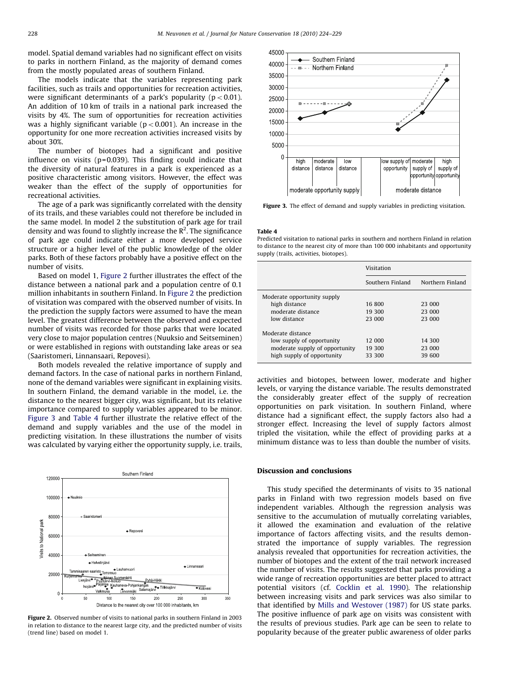model. Spatial demand variables had no significant effect on visits to parks in northern Finland, as the majority of demand comes from the mostly populated areas of southern Finland.

The models indicate that the variables representing park facilities, such as trails and opportunities for recreation activities, were significant determinants of a park's popularity ( $p < 0.01$ ). An addition of 10 km of trails in a national park increased the visits by 4%. The sum of opportunities for recreation activities was a highly significant variable ( $p < 0.001$ ). An increase in the opportunity for one more recreation activities increased visits by about 30%.

The number of biotopes had a significant and positive influence on visits (p=0.039). This finding could indicate that the diversity of natural features in a park is experienced as a positive characteristic among visitors. However, the effect was weaker than the effect of the supply of opportunities for recreational activities.

The age of a park was significantly correlated with the density of its trails, and these variables could not therefore be included in the same model. In model 2 the substitution of park age for trail density and was found to slightly increase the  $\mathsf{R}^2.$  The significance of park age could indicate either a more developed service structure or a higher level of the public knowledge of the older parks. Both of these factors probably have a positive effect on the number of visits.

Based on model 1, Figure 2 further illustrates the effect of the distance between a national park and a population centre of 0.1 million inhabitants in southern Finland. In Figure 2 the prediction of visitation was compared with the observed number of visits. In the prediction the supply factors were assumed to have the mean level. The greatest difference between the observed and expected number of visits was recorded for those parks that were located very close to major population centres (Nuuksio and Seitseminen) or were established in regions with outstanding lake areas or sea (Saaristomeri, Linnansaari, Repovesi).

Both models revealed the relative importance of supply and demand factors. In the case of national parks in northern Finland, none of the demand variables were significant in explaining visits. In southern Finland, the demand variable in the model, i.e. the distance to the nearest bigger city, was significant, but its relative importance compared to supply variables appeared to be minor. Figure 3 and Table 4 further illustrate the relative effect of the demand and supply variables and the use of the model in predicting visitation. In these illustrations the number of visits was calculated by varying either the opportunity supply, i.e. trails,



Figure 2. Observed number of visits to national parks in southern Finland in 2003 in relation to distance to the nearest large city, and the predicted number of visits (trend line) based on model 1.



Figure 3. The effect of demand and supply variables in predicting visitation.

#### Table 4

Predicted visitation to national parks in southern and northern Finland in relation to distance to the nearest city of more than 100 000 inhabitants and opportunity supply (trails, activities, biotopes).

|                                | Visitation       |                  |  |
|--------------------------------|------------------|------------------|--|
|                                | Southern Finland | Northern Finland |  |
| Moderate opportunity supply    |                  |                  |  |
| high distance                  | 16 800           | 23 000           |  |
| moderate distance              | 19 300           | 23 000           |  |
| low distance                   | 23 000           | 23 000           |  |
| Moderate distance              |                  |                  |  |
| low supply of opportunity      | 12 000           | 14 300           |  |
| moderate supply of opportunity | 19 300           | 23 000           |  |
| high supply of opportunity     | 33 300           | 39 600           |  |
|                                |                  |                  |  |

activities and biotopes, between lower, moderate and higher levels, or varying the distance variable. The results demonstrated the considerably greater effect of the supply of recreation opportunities on park visitation. In southern Finland, where distance had a significant effect, the supply factors also had a stronger effect. Increasing the level of supply factors almost tripled the visitation, while the effect of providing parks at a minimum distance was to less than double the number of visits.

# Discussion and conclusions

This study specified the determinants of visits to 35 national parks in Finland with two regression models based on five independent variables. Although the regression analysis was sensitive to the accumulation of mutually correlating variables, it allowed the examination and evaluation of the relative importance of factors affecting visits, and the results demonstrated the importance of supply variables. The regression analysis revealed that opportunities for recreation activities, the number of biotopes and the extent of the trail network increased the number of visits. The results suggested that parks providing a wide range of recreation opportunities are better placed to attract potential visitors (cf. [Cocklin et al. 1990\)](#page-5-0). The relationship between increasing visits and park services was also similar to that identified by [Mills and Westover \(1987\)](#page-5-0) for US state parks. The positive influence of park age on visits was consistent with the results of previous studies. Park age can be seen to relate to popularity because of the greater public awareness of older parks